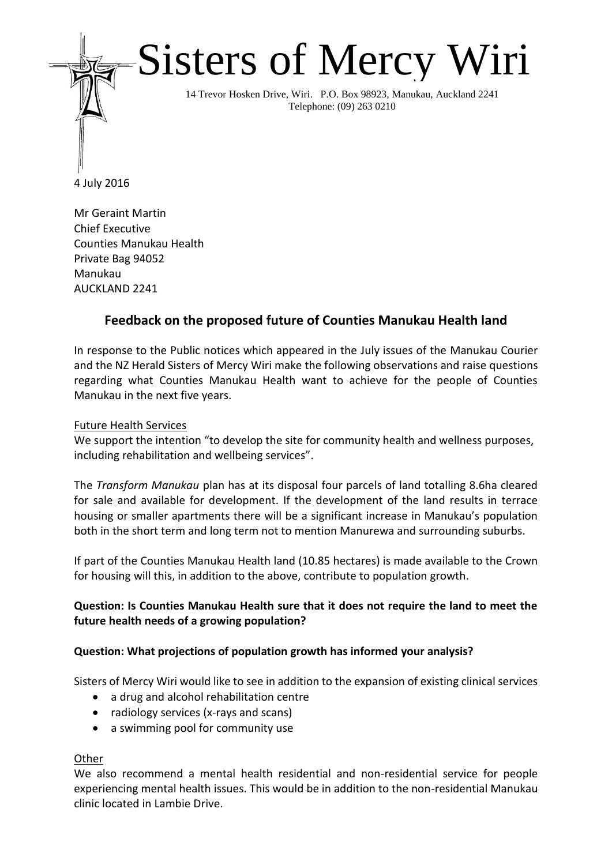# Sisters of Mercy Wiri

14 Trevor Hosken Drive, Wiri. P.O. Box 98923, Manukau, Auckland 2241 Telephone: (09) 263 0210

4 July 2016

Mr Geraint Martin Chief Executive Counties Manukau Health Private Bag 94052 Manukau AUCKLAND 2241

# **Feedback on the proposed future of Counties Manukau Health land**

In response to the Public notices which appeared in the July issues of the Manukau Courier and the NZ Herald Sisters of Mercy Wiri make the following observations and raise questions regarding what Counties Manukau Health want to achieve for the people of Counties Manukau in the next five years.

# Future Health Services

We support the intention "to develop the site for community health and wellness purposes, including rehabilitation and wellbeing services".

The *Transform Manukau* plan has at its disposal four parcels of land totalling 8.6ha cleared for sale and available for development. If the development of the land results in terrace housing or smaller apartments there will be a significant increase in Manukau's population both in the short term and long term not to mention Manurewa and surrounding suburbs.

If part of the Counties Manukau Health land (10.85 hectares) is made available to the Crown for housing will this, in addition to the above, contribute to population growth.

# **Question: Is Counties Manukau Health sure that it does not require the land to meet the future health needs of a growing population?**

# **Question: What projections of population growth has informed your analysis?**

Sisters of Mercy Wiri would like to see in addition to the expansion of existing clinical services

- a drug and alcohol rehabilitation centre
- radiology services (x-rays and scans)
- a swimming pool for community use

# **Other**

We also recommend a mental health residential and non-residential service for people experiencing mental health issues. This would be in addition to the non-residential Manukau clinic located in Lambie Drive.